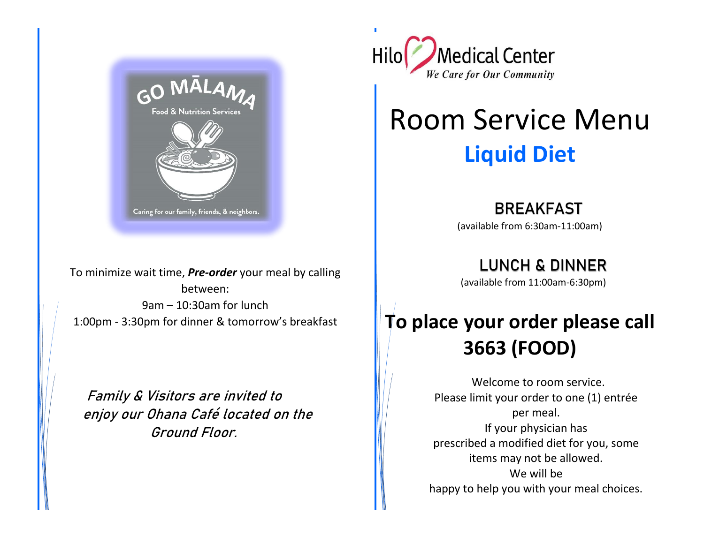

To minimize wait time, **Pre-order** your meal by calling between: 9am – 10:30am for lunch 1:00pm - 3:30pm for dinner & tomorrow's breakfast

Family & Visitors are invited to enjoy our Ohana Café located on the Ground Floor.



# Room Service Menu **Liquid Diet**

BREAKFAST  (available from 6:30am-11:00am)

**LUNCH & DINNER** 

(available from 11:00am-6:30pm)

## **To place your order please call 3663 (FOOD)**

 Welcome to room service. Please limit your order to one (1) entrée per meal. If your physician has prescribed a modified diet for you, some items may not be allowed. We will be happy to help you with your meal choices.